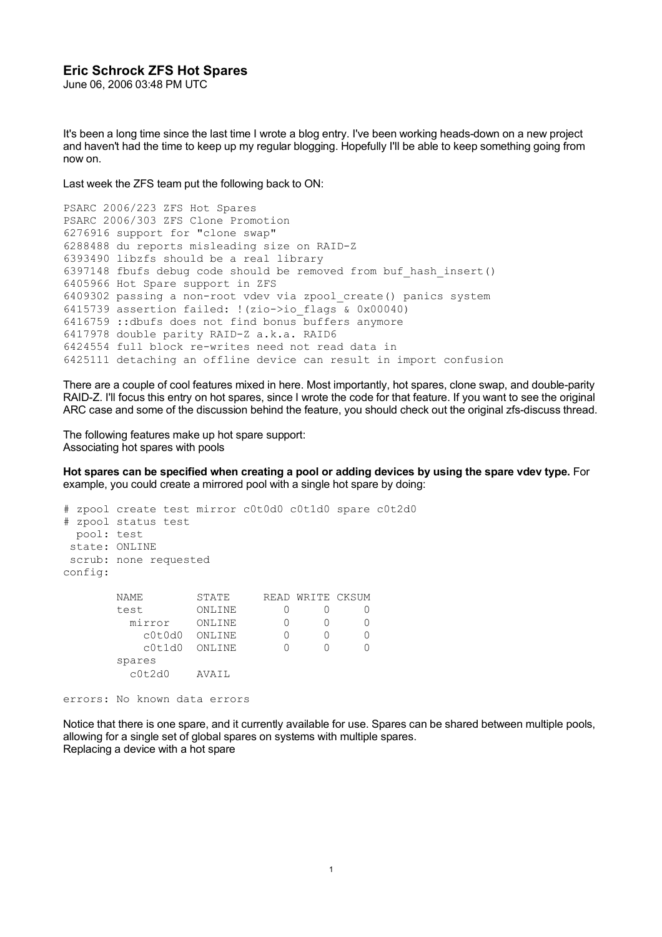## **Eric Schrock ZFS Hot Spares**

June 06, 2006 03:48 PM UTC

It's been a long time since the last time I wrote a blog entry. I've been working heads-down on a new project and haven't had the time to keep up my regular blogging. Hopefully I'll be able to keep something going from now on.

Last week the ZFS team put the following back to ON:

```
PSARC 2006/223 ZFS Hot Spares
PSARC 2006/303 ZFS Clone Promotion
6276916 support for "clone swap"
6288488 du reports misleading size on RAID-Z
6393490 libzfs should be a real library
6397148 fbufs debug code should be removed from buf_hash_insert()
6405966 Hot Spare support in ZFS
6409302 passing a non-root vdev via zpool_create() panics system
6415739 assertion failed: !(zio->ioflags \& 0x00040)6416759 ::dbufs does not find bonus buffers anymore
6417978 double parity RAID-Z a.k.a. RAID6
6424554 full block re-writes need not read data in
6425111 detaching an offline device can result in import confusion
```
There are a couple of cool features mixed in here. Most importantly, hot spares, clone swap, and double-parity RAID-Z. I'll focus this entry on hot spares, since I wrote the code for that feature. If you want to see the original ARC case and some of the discussion behind the feature, you should check out the original zfs-discuss thread.

The following features make up hot spare support: Associating hot spares with pools

**Hot spares can be specified when creating a pool or adding devices by using the spare vdev type.** For example, you could create a mirrored pool with a single hot spare by doing:

```
# zpool create test mirror c0t0d0 c0t1d0 spare c0t2d0
# zpool status test
  pool: test
 state: ONLINE
 scrub: none requested
config:
       NAME STATE READ WRITE CKSUM
       test ONLINE 0 0 0<br>
mirror ONLINE 0 0 0<br>
c0t0d0 ONLINE 0 0 0
         mirror ONLINE 0 0 0
           c0t0d0 ONLINE 0 0 0<br>c0t1d0 ONLINE 0 0 0
            c0t1d0 ONLINE 0 0 0
        spares
          c0t2d0 AVAIL
```
errors: No known data errors

Notice that there is one spare, and it currently available for use. Spares can be shared between multiple pools, allowing for a single set of global spares on systems with multiple spares. Replacing a device with a hot spare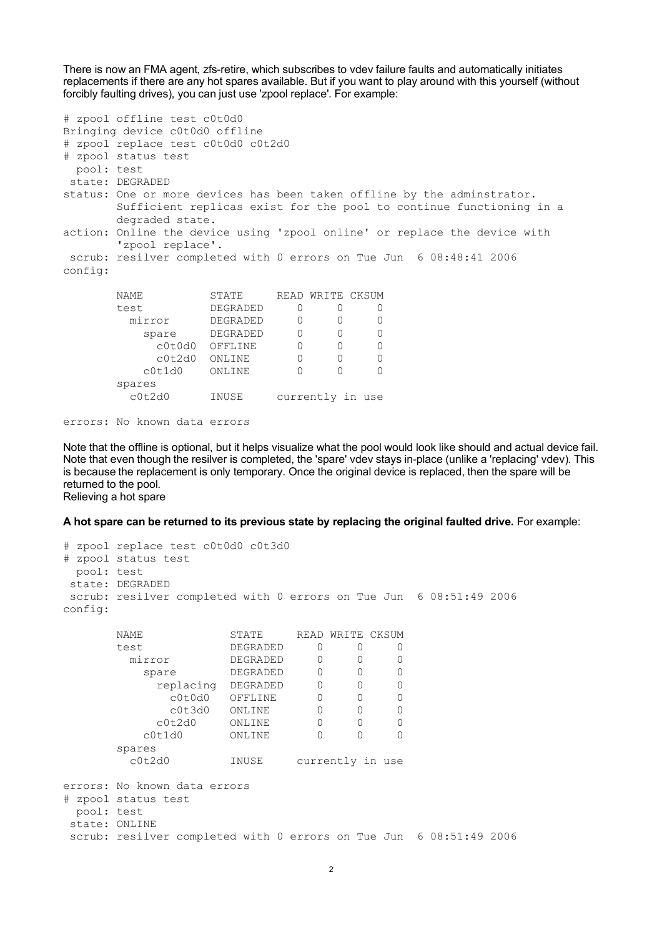There is now an FMA agent, zfs-retire, which subscribes to vdev failure faults and automatically initiates replacements if there are any hot spares available. But if you want to play around with this yourself (without forcibly faulting drives), you can just use 'zpool replace'. For example:

```
# zpool offline test c0t0d0
Bringing device c0t0d0 offline
# zpool replace test c0t0d0 c0t2d0
# zpool status test
  pool: test
 state: DEGRADED
status: One or more devices has been taken offline by the adminstrator.
        Sufficient replicas exist for the pool to continue functioning in a
        degraded state.
action: Online the device using 'zpool online' or replace the device with
        'zpool replace'.
 scrub: resilver completed with 0 errors on Tue Jun 6 08:48:41 2006
config:
      NAME STATE READ WRITE CKSUM
       test DEGRADED 0 0 0
        mirror DEGRADED 0 0 0
          spare DEGRADED 0 0 0
            c0t0d0 OFFLINE 0 0 0
             c0t2d0 ONLINE 0 0 0
           c0t1d0 ONLINE 0 0 0
        spares
         c0t2d0 INUSE currently in use
```

```
errors: No known data errors
```
Note that the offline is optional, but it helps visualize what the pool would look like should and actual device fail. Note that even though the resilver is completed, the 'spare' vdev stays in-place (unlike a 'replacing' vdev). This is because the replacement is only temporary. Once the original device is replaced, then the spare will be returned to the pool. Relieving a hot spare

**A hot spare can be returned to its previous state by replacing the original faulted drive.** For example:

```
# zpool replace test c0t0d0 c0t3d0
# zpool status test
  pool: test
 state: DEGRADED
 scrub: resilver completed with 0 errors on Tue Jun 6 08:51:49 2006
config:
      NAME STATE READ WRITE CKSUM
      test DEGRADED 0 0 0
       mirror DEGRADED 0 0 0
         spare DEGRADED 0 0 0
          replacing DEGRADED 0 0 0
             c0t0d0 OFFLINE 0 0 0
             c0t3d0 ONLINE 0 0 0
           c0t2d0 ONLINE 0 0 0
          c0t1d0 ONLINE 0 0 0
       spares
        c0t2d0 INUSE currently in use
errors: No known data errors
# zpool status test
  pool: test
 state: ONLINE
 scrub: resilver completed with 0 errors on Tue Jun 6 08:51:49 2006
```